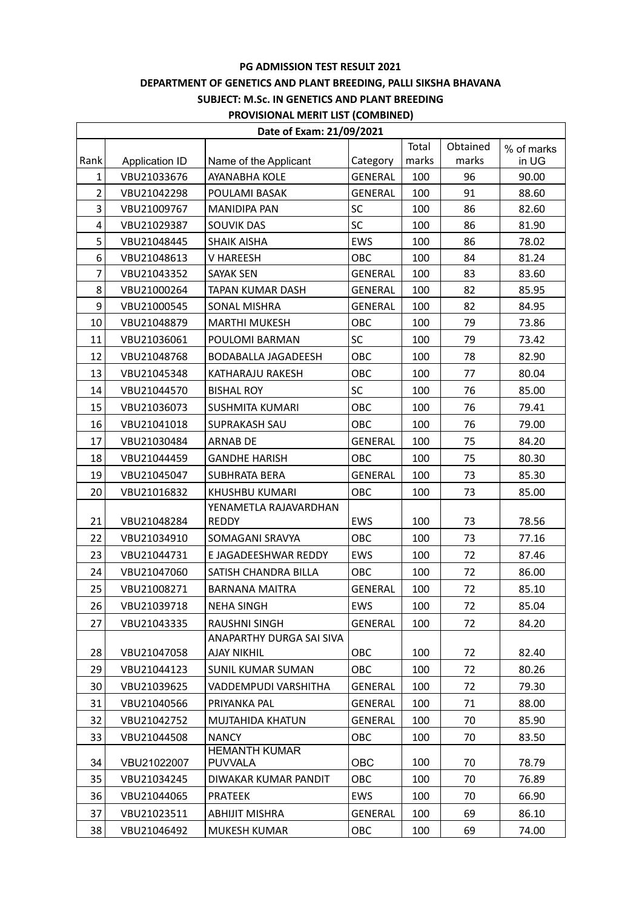# **DEPARTMENT OF GENETICS AND PLANT BREEDING, PALLI SIKSHA BHAVANA**

## **SUBJECT: M.Sc. IN GENETICS AND PLANT BREEDING**

### **PROVISIONAL MERIT LIST (COMBINED)**

| Date of Exam: 21/09/2021 |                |                                        |                |       |          |            |  |
|--------------------------|----------------|----------------------------------------|----------------|-------|----------|------------|--|
|                          |                |                                        |                | Total | Obtained | % of marks |  |
| Rank                     | Application ID | Name of the Applicant                  | Category       | marks | marks    | in UG      |  |
| $\mathbf{1}$             | VBU21033676    | AYANABHA KOLE                          | <b>GENERAL</b> | 100   | 96       | 90.00      |  |
| $\overline{2}$           | VBU21042298    | POULAMI BASAK                          | <b>GENERAL</b> | 100   | 91       | 88.60      |  |
| 3                        | VBU21009767    | <b>MANIDIPA PAN</b>                    | SC             | 100   | 86       | 82.60      |  |
| 4                        | VBU21029387    | SOUVIK DAS                             | SC             | 100   | 86       | 81.90      |  |
| 5                        | VBU21048445    | <b>SHAIK AISHA</b>                     | <b>EWS</b>     | 100   | 86       | 78.02      |  |
| 6                        | VBU21048613    | V HAREESH                              | OBC            | 100   | 84       | 81.24      |  |
| $\overline{7}$           | VBU21043352    | <b>SAYAK SEN</b>                       | <b>GENERAL</b> | 100   | 83       | 83.60      |  |
| 8                        | VBU21000264    | TAPAN KUMAR DASH                       | <b>GENERAL</b> | 100   | 82       | 85.95      |  |
| 9                        | VBU21000545    | SONAL MISHRA                           | <b>GENERAL</b> | 100   | 82       | 84.95      |  |
| 10                       | VBU21048879    | <b>MARTHI MUKESH</b>                   | OBC            | 100   | 79       | 73.86      |  |
| 11                       | VBU21036061    | POULOMI BARMAN                         | <b>SC</b>      | 100   | 79       | 73.42      |  |
| 12                       | VBU21048768    | <b>BODABALLA JAGADEESH</b>             | OBC            | 100   | 78       | 82.90      |  |
| 13                       | VBU21045348    | KATHARAJU RAKESH                       | <b>OBC</b>     | 100   | 77       | 80.04      |  |
| 14                       | VBU21044570    | <b>BISHAL ROY</b>                      | SC             | 100   | 76       | 85.00      |  |
| 15                       | VBU21036073    | SUSHMITA KUMARI                        | OBC            | 100   | 76       | 79.41      |  |
| 16                       | VBU21041018    | <b>SUPRAKASH SAU</b>                   | OBC            | 100   | 76       | 79.00      |  |
| 17                       | VBU21030484    | <b>ARNAB DE</b>                        | <b>GENERAL</b> | 100   | 75       | 84.20      |  |
| 18                       | VBU21044459    | <b>GANDHE HARISH</b>                   | OBC            | 100   | 75       | 80.30      |  |
| 19                       | VBU21045047    | <b>SUBHRATA BERA</b>                   | GENERAL        | 100   | 73       | 85.30      |  |
| 20                       | VBU21016832    | KHUSHBU KUMARI                         | OBC            | 100   | 73       | 85.00      |  |
|                          |                | YENAMETLA RAJAVARDHAN                  |                |       |          |            |  |
| 21                       | VBU21048284    | <b>REDDY</b>                           | EWS            | 100   | 73       | 78.56      |  |
| 22                       | VBU21034910    | SOMAGANI SRAVYA                        | <b>OBC</b>     | 100   | 73       | 77.16      |  |
| 23                       | VBU21044731    | E JAGADEESHWAR REDDY                   | EWS            | 100   | 72       | 87.46      |  |
| 24                       | VBU21047060    | SATISH CHANDRA BILLA                   | OBC            | 100   | 72       | 86.00      |  |
| 25                       | VBU21008271    | <b>BARNANA MAITRA</b>                  | <b>GENERAL</b> | 100   | 72       | 85.10      |  |
| 26                       | VBU21039718    | <b>NEHA SINGH</b>                      | EWS            | 100   | 72       | 85.04      |  |
| 27                       | VBU21043335    | <b>RAUSHNI SINGH</b>                   | <b>GENERAL</b> | 100   | 72       | 84.20      |  |
|                          |                | ANAPARTHY DURGA SAI SIVA               |                |       |          |            |  |
| 28                       | VBU21047058    | AJAY NIKHIL                            | OBC            | 100   | 72       | 82.40      |  |
| 29                       | VBU21044123    | <b>SUNIL KUMAR SUMAN</b>               | <b>OBC</b>     | 100   | 72       | 80.26      |  |
| 30                       | VBU21039625    | VADDEMPUDI VARSHITHA                   | <b>GENERAL</b> | 100   | 72       | 79.30      |  |
| 31                       | VBU21040566    | PRIYANKA PAL                           | <b>GENERAL</b> | 100   | 71       | 88.00      |  |
| 32                       | VBU21042752    | MUJTAHIDA KHATUN                       | GENERAL        | 100   | 70       | 85.90      |  |
| 33                       | VBU21044508    | <b>NANCY</b>                           | OBC            | 100   | 70       | 83.50      |  |
| 34                       | VBU21022007    | <b>HEMANTH KUMAR</b><br><b>PUVVALA</b> | OBC            | 100   | 70       | 78.79      |  |
| 35                       | VBU21034245    | DIWAKAR KUMAR PANDIT                   | OBC            | 100   | 70       | 76.89      |  |
| 36                       | VBU21044065    | <b>PRATEEK</b>                         | EWS            | 100   | 70       | 66.90      |  |
| 37                       | VBU21023511    | <b>ABHIJIT MISHRA</b>                  | <b>GENERAL</b> | 100   | 69       | 86.10      |  |
|                          |                |                                        |                |       |          |            |  |
| 38                       | VBU21046492    | MUKESH KUMAR                           | OBC            | 100   | 69       | 74.00      |  |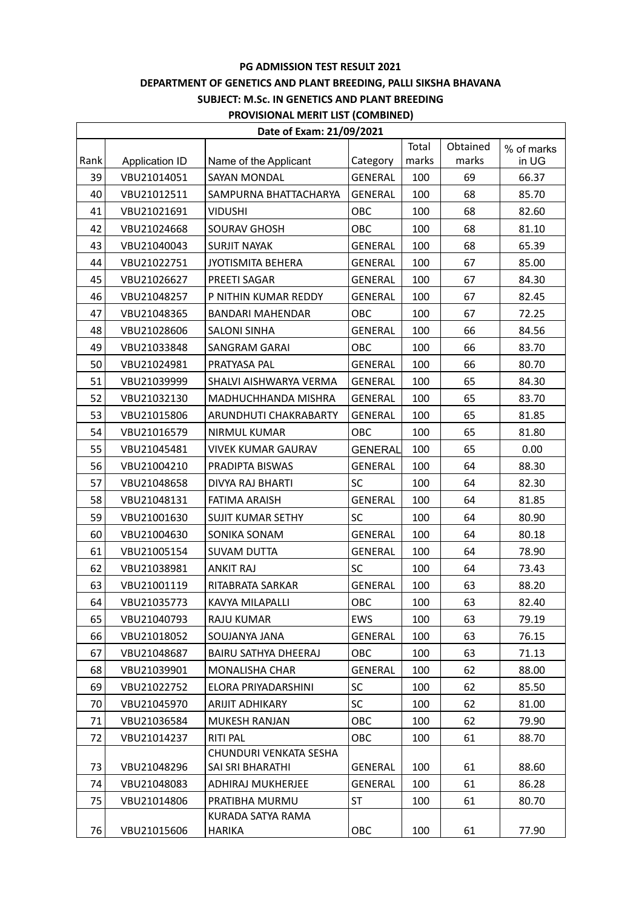## **DEPARTMENT OF GENETICS AND PLANT BREEDING, PALLI SIKSHA BHAVANA**

## **SUBJECT: M.Sc. IN GENETICS AND PLANT BREEDING**

#### **PROVISIONAL MERIT LIST (COMBINED)**

| Date of Exam: 21/09/2021 |                |                           |                |       |          |            |  |
|--------------------------|----------------|---------------------------|----------------|-------|----------|------------|--|
|                          |                |                           |                | Total | Obtained | % of marks |  |
| Rank                     | Application ID | Name of the Applicant     | Category       | marks | marks    | in UG      |  |
| 39                       | VBU21014051    | SAYAN MONDAL              | <b>GENERAL</b> | 100   | 69       | 66.37      |  |
| 40                       | VBU21012511    | SAMPURNA BHATTACHARYA     | GENERAL        | 100   | 68       | 85.70      |  |
| 41                       | VBU21021691    | <b>VIDUSHI</b>            | OBC            | 100   | 68       | 82.60      |  |
| 42                       | VBU21024668    | <b>SOURAV GHOSH</b>       | OBC            | 100   | 68       | 81.10      |  |
| 43                       | VBU21040043    | <b>SURJIT NAYAK</b>       | <b>GENERAL</b> | 100   | 68       | 65.39      |  |
| 44                       | VBU21022751    | <b>JYOTISMITA BEHERA</b>  | GENERAL        | 100   | 67       | 85.00      |  |
| 45                       | VBU21026627    | PREETI SAGAR              | <b>GENERAL</b> | 100   | 67       | 84.30      |  |
| 46                       | VBU21048257    | P NITHIN KUMAR REDDY      | GENERAL        | 100   | 67       | 82.45      |  |
| 47                       | VBU21048365    | <b>BANDARI MAHENDAR</b>   | OBC            | 100   | 67       | 72.25      |  |
| 48                       | VBU21028606    | SALONI SINHA              | <b>GENERAL</b> | 100   | 66       | 84.56      |  |
| 49                       | VBU21033848    | <b>SANGRAM GARAI</b>      | OBC            | 100   | 66       | 83.70      |  |
| 50                       | VBU21024981    | PRATYASA PAL              | <b>GENERAL</b> | 100   | 66       | 80.70      |  |
| 51                       | VBU21039999    | SHALVI AISHWARYA VERMA    | <b>GENERAL</b> | 100   | 65       | 84.30      |  |
| 52                       | VBU21032130    | MADHUCHHANDA MISHRA       | GENERAL        | 100   | 65       | 83.70      |  |
| 53                       | VBU21015806    | ARUNDHUTI CHAKRABARTY     | <b>GENERAL</b> | 100   | 65       | 81.85      |  |
| 54                       | VBU21016579    | NIRMUL KUMAR              | OBC            | 100   | 65       | 81.80      |  |
| 55                       | VBU21045481    | <b>VIVEK KUMAR GAURAV</b> | <b>GENERAL</b> | 100   | 65       | 0.00       |  |
| 56                       | VBU21004210    | PRADIPTA BISWAS           | GENERAL        | 100   | 64       | 88.30      |  |
| 57                       | VBU21048658    | DIVYA RAJ BHARTI          | SC             | 100   | 64       | 82.30      |  |
| 58                       | VBU21048131    | FATIMA ARAISH             | <b>GENERAL</b> | 100   | 64       | 81.85      |  |
| 59                       | VBU21001630    | <b>SUJIT KUMAR SETHY</b>  | <b>SC</b>      | 100   | 64       | 80.90      |  |
| 60                       | VBU21004630    | SONIKA SONAM              | <b>GENERAL</b> | 100   | 64       | 80.18      |  |
| 61                       | VBU21005154    | <b>SUVAM DUTTA</b>        | <b>GENERAL</b> | 100   | 64       | 78.90      |  |
| 62                       | VBU21038981    | <b>ANKIT RAJ</b>          | SC             | 100   | 64       | 73.43      |  |
| 63                       | VBU21001119    | RITABRATA SARKAR          | <b>GENERAL</b> | 100   | 63       | 88.20      |  |
| 64                       | VBU21035773    | KAVYA MILAPALLI           | OBC            | 100   | 63       | 82.40      |  |
| 65                       | VBU21040793    | <b>RAJU KUMAR</b>         | EWS            | 100   | 63       | 79.19      |  |
| 66                       | VBU21018052    | SOUJANYA JANA             | <b>GENERAL</b> | 100   | 63       | 76.15      |  |
| 67                       | VBU21048687    | BAIRU SATHYA DHEERAJ      | OBC            | 100   | 63       | 71.13      |  |
| 68                       | VBU21039901    | <b>MONALISHA CHAR</b>     | <b>GENERAL</b> | 100   | 62       | 88.00      |  |
| 69                       | VBU21022752    | ELORA PRIYADARSHINI       | SC             | 100   | 62       | 85.50      |  |
| 70                       | VBU21045970    | <b>ARIJIT ADHIKARY</b>    | <b>SC</b>      | 100   | 62       | 81.00      |  |
| 71                       | VBU21036584    | <b>MUKESH RANJAN</b>      | OBC            | 100   | 62       | 79.90      |  |
| 72                       | VBU21014237    | <b>RITI PAL</b>           | OBC            | 100   | 61       | 88.70      |  |
|                          |                | CHUNDURI VENKATA SESHA    |                |       |          |            |  |
| 73                       | VBU21048296    | SAI SRI BHARATHI          | <b>GENERAL</b> | 100   | 61       | 88.60      |  |
| 74                       | VBU21048083    | ADHIRAJ MUKHERJEE         | <b>GENERAL</b> | 100   | 61       | 86.28      |  |
| 75                       | VBU21014806    | PRATIBHA MURMU            | ST             | 100   | 61       | 80.70      |  |
|                          |                | KURADA SATYA RAMA         |                |       |          |            |  |
| 76                       | VBU21015606    | HARIKA                    | OBC            | 100   | 61       | 77.90      |  |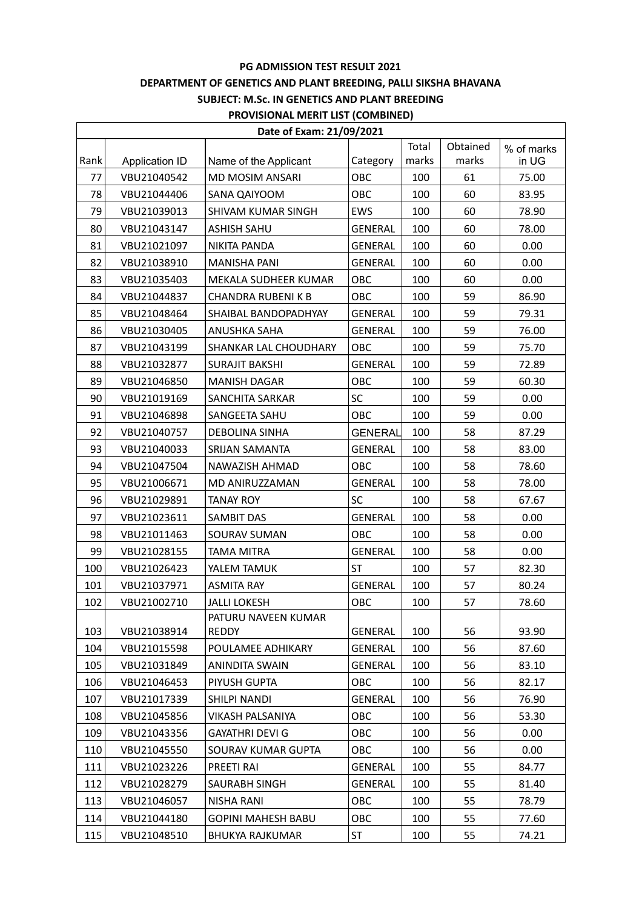## **DEPARTMENT OF GENETICS AND PLANT BREEDING, PALLI SIKSHA BHAVANA**

## **SUBJECT: M.Sc. IN GENETICS AND PLANT BREEDING**

## **PROVISIONAL MERIT LIST (COMBINED)**

| Date of Exam: 21/09/2021 |                |                              |                |       |          |            |  |
|--------------------------|----------------|------------------------------|----------------|-------|----------|------------|--|
|                          |                |                              |                | Total | Obtained | % of marks |  |
| Rank                     | Application ID | Name of the Applicant        | Category       | marks | marks    | in UG      |  |
| 77                       | VBU21040542    | MD MOSIM ANSARI              | OBC            | 100   | 61       | 75.00      |  |
| 78                       | VBU21044406    | SANA QAIYOOM                 | <b>OBC</b>     | 100   | 60       | 83.95      |  |
| 79                       | VBU21039013    | <b>SHIVAM KUMAR SINGH</b>    | EWS            | 100   | 60       | 78.90      |  |
| 80                       | VBU21043147    | <b>ASHISH SAHU</b>           | <b>GENERAL</b> | 100   | 60       | 78.00      |  |
| 81                       | VBU21021097    | NIKITA PANDA                 | GENERAL        | 100   | 60       | 0.00       |  |
| 82                       | VBU21038910    | <b>MANISHA PANI</b>          | GENERAL        | 100   | 60       | 0.00       |  |
| 83                       | VBU21035403    | MEKALA SUDHEER KUMAR         | OBC            | 100   | 60       | 0.00       |  |
| 84                       | VBU21044837    | <b>CHANDRA RUBENIK B</b>     | <b>OBC</b>     | 100   | 59       | 86.90      |  |
| 85                       | VBU21048464    | SHAIBAL BANDOPADHYAY         | <b>GENERAL</b> | 100   | 59       | 79.31      |  |
| 86                       | VBU21030405    | ANUSHKA SAHA                 | <b>GENERAL</b> | 100   | 59       | 76.00      |  |
| 87                       | VBU21043199    | <b>SHANKAR LAL CHOUDHARY</b> | OBC            | 100   | 59       | 75.70      |  |
| 88                       | VBU21032877    | <b>SURAJIT BAKSHI</b>        | <b>GENERAL</b> | 100   | 59       | 72.89      |  |
| 89                       | VBU21046850    | <b>MANISH DAGAR</b>          | OBC            | 100   | 59       | 60.30      |  |
| 90                       | VBU21019169    | <b>SANCHITA SARKAR</b>       | SC             | 100   | 59       | 0.00       |  |
| 91                       | VBU21046898    | SANGEETA SAHU                | OBC            | 100   | 59       | 0.00       |  |
| 92                       | VBU21040757    | <b>DEBOLINA SINHA</b>        | <b>GENERAL</b> | 100   | 58       | 87.29      |  |
| 93                       | VBU21040033    | SRIJAN SAMANTA               | <b>GENERAL</b> | 100   | 58       | 83.00      |  |
| 94                       | VBU21047504    | NAWAZISH AHMAD               | OBC            | 100   | 58       | 78.60      |  |
| 95                       | VBU21006671    | MD ANIRUZZAMAN               | <b>GENERAL</b> | 100   | 58       | 78.00      |  |
| 96                       | VBU21029891    | <b>TANAY ROY</b>             | <b>SC</b>      | 100   | 58       | 67.67      |  |
| 97                       | VBU21023611    | SAMBIT DAS                   | <b>GENERAL</b> | 100   | 58       | 0.00       |  |
| 98                       | VBU21011463    | SOURAV SUMAN                 | OBC            | 100   | 58       | 0.00       |  |
| 99                       | VBU21028155    | <b>TAMA MITRA</b>            | <b>GENERAL</b> | 100   | 58       | 0.00       |  |
| 100                      | VBU21026423    | YALEM TAMUK                  | ST             | 100   | 57       | 82.30      |  |
| 101                      | VBU21037971    | <b>ASMITA RAY</b>            | <b>GENERAL</b> | 100   | 57       | 80.24      |  |
| 102                      | VBU21002710    | <b>JALLI LOKESH</b>          | OBC            | 100   | 57       | 78.60      |  |
|                          |                | PATURU NAVEEN KUMAR          |                |       |          |            |  |
| 103                      | VBU21038914    | REDDY                        | GENERAL        | 100   | 56       | 93.90      |  |
| 104                      | VBU21015598    | POULAMEE ADHIKARY            | <b>GENERAL</b> | 100   | 56       | 87.60      |  |
| 105                      | VBU21031849    | <b>ANINDITA SWAIN</b>        | <b>GENERAL</b> | 100   | 56       | 83.10      |  |
| 106                      | VBU21046453    | PIYUSH GUPTA                 | <b>OBC</b>     | 100   | 56       | 82.17      |  |
| 107                      | VBU21017339    | SHILPI NANDI                 | <b>GENERAL</b> | 100   | 56       | 76.90      |  |
| 108                      | VBU21045856    | <b>VIKASH PALSANIYA</b>      | OBC            | 100   | 56       | 53.30      |  |
| 109                      | VBU21043356    | <b>GAYATHRI DEVI G</b>       | <b>OBC</b>     | 100   | 56       | 0.00       |  |
| 110                      | VBU21045550    | SOURAV KUMAR GUPTA           | ОВС            | 100   | 56       | 0.00       |  |
| 111                      | VBU21023226    | PREETI RAI                   | <b>GENERAL</b> | 100   | 55       | 84.77      |  |
| 112                      | VBU21028279    | SAURABH SINGH                | <b>GENERAL</b> | 100   | 55       | 81.40      |  |
| 113                      | VBU21046057    | <b>NISHA RANI</b>            | <b>OBC</b>     | 100   | 55       | 78.79      |  |
| 114                      | VBU21044180    | <b>GOPINI MAHESH BABU</b>    | OBC            | 100   | 55       | 77.60      |  |
| 115                      | VBU21048510    | <b>BHUKYA RAJKUMAR</b>       | ST             | 100   | 55       | 74.21      |  |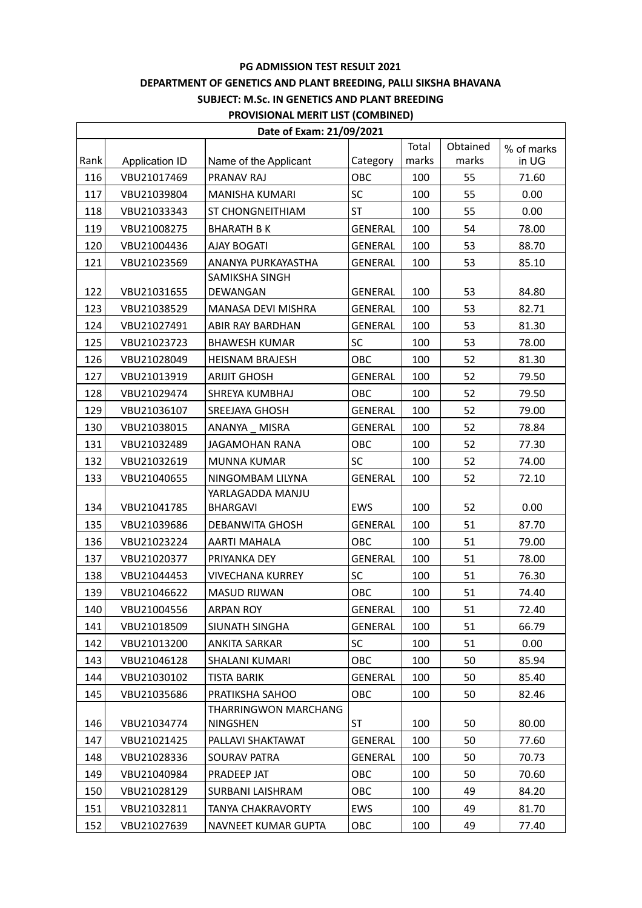# **DEPARTMENT OF GENETICS AND PLANT BREEDING, PALLI SIKSHA BHAVANA**

## **SUBJECT: M.Sc. IN GENETICS AND PLANT BREEDING**

### **PROVISIONAL MERIT LIST (COMBINED)**

| Date of Exam: 21/09/2021 |                |                          |                |       |          |            |
|--------------------------|----------------|--------------------------|----------------|-------|----------|------------|
|                          |                |                          |                | Total | Obtained | % of marks |
| Rank                     | Application ID | Name of the Applicant    | Category       | marks | marks    | in UG      |
| 116                      | VBU21017469    | PRANAV RAJ               | OBC            | 100   | 55       | 71.60      |
| 117                      | VBU21039804    | <b>MANISHA KUMARI</b>    | SC             | 100   | 55       | 0.00       |
| 118                      | VBU21033343    | <b>ST CHONGNEITHIAM</b>  | <b>ST</b>      | 100   | 55       | 0.00       |
| 119                      | VBU21008275    | <b>BHARATH BK</b>        | <b>GENERAL</b> | 100   | 54       | 78.00      |
| 120                      | VBU21004436    | <b>AJAY BOGATI</b>       | <b>GENERAL</b> | 100   | 53       | 88.70      |
| 121                      | VBU21023569    | ANANYA PURKAYASTHA       | <b>GENERAL</b> | 100   | 53       | 85.10      |
|                          |                | SAMIKSHA SINGH           |                |       |          |            |
| 122                      | VBU21031655    | DEWANGAN                 | GENERAL        | 100   | 53       | 84.80      |
| 123                      | VBU21038529    | MANASA DEVI MISHRA       | <b>GENERAL</b> | 100   | 53       | 82.71      |
| 124                      | VBU21027491    | ABIR RAY BARDHAN         | <b>GENERAL</b> | 100   | 53       | 81.30      |
| 125                      | VBU21023723    | <b>BHAWESH KUMAR</b>     | SC             | 100   | 53       | 78.00      |
| 126                      | VBU21028049    | <b>HEISNAM BRAJESH</b>   | OBC            | 100   | 52       | 81.30      |
| 127                      | VBU21013919    | <b>ARIJIT GHOSH</b>      | <b>GENERAL</b> | 100   | 52       | 79.50      |
| 128                      | VBU21029474    | SHREYA KUMBHAJ           | OBC            | 100   | 52       | 79.50      |
| 129                      | VBU21036107    | SREEJAYA GHOSH           | <b>GENERAL</b> | 100   | 52       | 79.00      |
| 130                      | VBU21038015    | ANANYA MISRA             | <b>GENERAL</b> | 100   | 52       | 78.84      |
| 131                      | VBU21032489    | <b>JAGAMOHAN RANA</b>    | OBC            | 100   | 52       | 77.30      |
| 132                      | VBU21032619    | <b>MUNNA KUMAR</b>       | <b>SC</b>      | 100   | 52       | 74.00      |
| 133                      | VBU21040655    | NINGOMBAM LILYNA         | <b>GENERAL</b> | 100   | 52       | 72.10      |
|                          |                | YARLAGADDA MANJU         |                |       |          |            |
| 134                      | VBU21041785    | <b>BHARGAVI</b>          | <b>EWS</b>     | 100   | 52       | 0.00       |
| 135                      | VBU21039686    | <b>DEBANWITA GHOSH</b>   | GENERAL        | 100   | 51       | 87.70      |
| 136                      | VBU21023224    | AARTI MAHALA             | OBC            | 100   | 51       | 79.00      |
| 137                      | VBU21020377    | PRIYANKA DEY             | <b>GENERAL</b> | 100   | 51       | 78.00      |
| 138                      | VBU21044453    | <b>VIVECHANA KURREY</b>  | SC             | 100   | 51       | 76.30      |
| 139                      | VBU21046622    | <b>MASUD RIJWAN</b>      | OBC            | 100   | 51       | 74.40      |
| 140                      | VBU21004556    | <b>ARPAN ROY</b>         | <b>GENERAL</b> | 100   | 51       | 72.40      |
| 141                      | VBU21018509    | SIUNATH SINGHA           | <b>GENERAL</b> | 100   | 51       | 66.79      |
| 142                      | VBU21013200    | ANKITA SARKAR            | SC             | 100   | 51       | 0.00       |
| 143                      | VBU21046128    | <b>SHALANI KUMARI</b>    | OBC            | 100   | 50       | 85.94      |
| 144                      | VBU21030102    | <b>TISTA BARIK</b>       | <b>GENERAL</b> | 100   | 50       | 85.40      |
| 145                      | VBU21035686    | PRATIKSHA SAHOO          | OBC            | 100   | 50       | 82.46      |
|                          |                | THARRINGWON MARCHANG     |                |       |          |            |
| 146                      | VBU21034774    | <b>NINGSHEN</b>          | ST             | 100   | 50       | 80.00      |
| 147                      | VBU21021425    | PALLAVI SHAKTAWAT        | <b>GENERAL</b> | 100   | 50       | 77.60      |
| 148                      | VBU21028336    | SOURAV PATRA             | GENERAL        | 100   | 50       | 70.73      |
| 149                      | VBU21040984    | PRADEEP JAT              | OBC            | 100   | 50       | 70.60      |
| 150                      | VBU21028129    | SURBANI LAISHRAM         | OBC            | 100   | 49       | 84.20      |
| 151                      | VBU21032811    | <b>TANYA CHAKRAVORTY</b> | <b>EWS</b>     | 100   | 49       | 81.70      |
| 152                      | VBU21027639    | NAVNEET KUMAR GUPTA      | OBC            | 100   | 49       | 77.40      |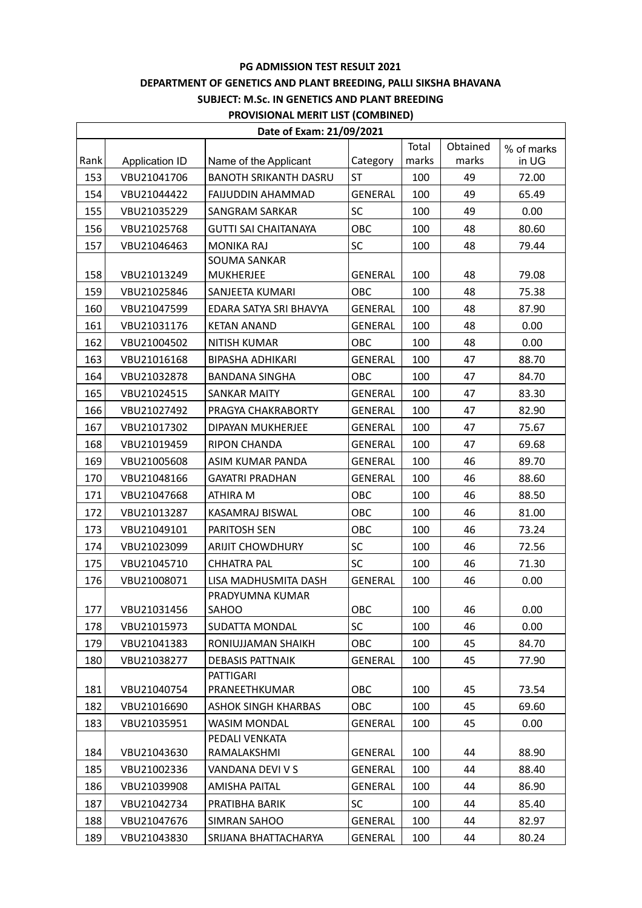## **DEPARTMENT OF GENETICS AND PLANT BREEDING, PALLI SIKSHA BHAVANA**

## **SUBJECT: M.Sc. IN GENETICS AND PLANT BREEDING**

### **PROVISIONAL MERIT LIST (COMBINED)**

| Date of Exam: 21/09/2021 |                |                              |                |       |          |            |
|--------------------------|----------------|------------------------------|----------------|-------|----------|------------|
|                          |                |                              |                | Total | Obtained | % of marks |
| Rank                     | Application ID | Name of the Applicant        | Category       | marks | marks    | in UG      |
| 153                      | VBU21041706    | <b>BANOTH SRIKANTH DASRU</b> | <b>ST</b>      | 100   | 49       | 72.00      |
| 154                      | VBU21044422    | <b>FAIJUDDIN AHAMMAD</b>     | <b>GENERAL</b> | 100   | 49       | 65.49      |
| 155                      | VBU21035229    | SANGRAM SARKAR               | SC             | 100   | 49       | 0.00       |
| 156                      | VBU21025768    | <b>GUTTI SAI CHAITANAYA</b>  | OBC            | 100   | 48       | 80.60      |
| 157                      | VBU21046463    | <b>MONIKA RAJ</b>            | SC             | 100   | 48       | 79.44      |
|                          |                | <b>SOUMA SANKAR</b>          |                |       |          |            |
| 158                      | VBU21013249    | <b>MUKHERJEE</b>             | <b>GENERAL</b> | 100   | 48       | 79.08      |
| 159                      | VBU21025846    | SANJEETA KUMARI              | OBC            | 100   | 48       | 75.38      |
| 160                      | VBU21047599    | EDARA SATYA SRI BHAVYA       | <b>GENERAL</b> | 100   | 48       | 87.90      |
| 161                      | VBU21031176    | <b>KETAN ANAND</b>           | <b>GENERAL</b> | 100   | 48       | 0.00       |
| 162                      | VBU21004502    | <b>NITISH KUMAR</b>          | OBC            | 100   | 48       | 0.00       |
| 163                      | VBU21016168    | <b>BIPASHA ADHIKARI</b>      | <b>GENERAL</b> | 100   | 47       | 88.70      |
| 164                      | VBU21032878    | <b>BANDANA SINGHA</b>        | OBC            | 100   | 47       | 84.70      |
| 165                      | VBU21024515    | <b>SANKAR MAITY</b>          | <b>GENERAL</b> | 100   | 47       | 83.30      |
| 166                      | VBU21027492    | PRAGYA CHAKRABORTY           | GENERAL        | 100   | 47       | 82.90      |
| 167                      | VBU21017302    | DIPAYAN MUKHERJEE            | <b>GENERAL</b> | 100   | 47       | 75.67      |
| 168                      | VBU21019459    | <b>RIPON CHANDA</b>          | GENERAL        | 100   | 47       | 69.68      |
| 169                      | VBU21005608    | ASIM KUMAR PANDA             | <b>GENERAL</b> | 100   | 46       | 89.70      |
| 170                      | VBU21048166    | <b>GAYATRI PRADHAN</b>       | <b>GENERAL</b> | 100   | 46       | 88.60      |
| 171                      | VBU21047668    | ATHIRA M                     | OBC            | 100   | 46       | 88.50      |
| 172                      | VBU21013287    | KASAMRAJ BISWAL              | OBC            | 100   | 46       | 81.00      |
| 173                      | VBU21049101    | PARITOSH SEN                 | OBC            | 100   | 46       | 73.24      |
| 174                      | VBU21023099    | <b>ARIJIT CHOWDHURY</b>      | SC             | 100   | 46       | 72.56      |
| 175                      | VBU21045710    | <b>CHHATRA PAL</b>           | SC             | 100   | 46       | 71.30      |
| 176                      | VBU21008071    | LISA MADHUSMITA DASH         | <b>GENERAL</b> | 100   | 46       | 0.00       |
|                          |                | PRADYUMNA KUMAR              |                |       |          |            |
| 177                      | VBU21031456    | SAHOO                        | OBC            | 100   | 46       | 0.00       |
| 178                      | VBU21015973    | SUDATTA MONDAL               | <b>SC</b>      | 100   | 46       | 0.00       |
| 179                      | VBU21041383    | RONIUJJAMAN SHAIKH           | OBC            | 100   | 45       | 84.70      |
| 180                      | VBU21038277    | <b>DEBASIS PATTNAIK</b>      | <b>GENERAL</b> | 100   | 45       | 77.90      |
|                          |                | <b>PATTIGARI</b>             |                |       |          |            |
| 181                      | VBU21040754    | PRANEETHKUMAR                | OBC            | 100   | 45       | 73.54      |
| 182                      | VBU21016690    | <b>ASHOK SINGH KHARBAS</b>   | OBC            | 100   | 45       | 69.60      |
| 183                      | VBU21035951    | <b>WASIM MONDAL</b>          | <b>GENERAL</b> | 100   | 45       | 0.00       |
|                          |                | PEDALI VENKATA               |                |       |          |            |
| 184                      | VBU21043630    | RAMALAKSHMI                  | <b>GENERAL</b> | 100   | 44       | 88.90      |
| 185                      | VBU21002336    | VANDANA DEVI V S             | <b>GENERAL</b> | 100   | 44       | 88.40      |
| 186                      | VBU21039908    | <b>AMISHA PAITAL</b>         | <b>GENERAL</b> | 100   | 44       | 86.90      |
| 187                      | VBU21042734    | PRATIBHA BARIK               | <b>SC</b>      | 100   | 44       | 85.40      |
| 188                      | VBU21047676    | SIMRAN SAHOO                 | <b>GENERAL</b> | 100   | 44       | 82.97      |
| 189                      | VBU21043830    | SRIJANA BHATTACHARYA         | GENERAL        | 100   | 44       | 80.24      |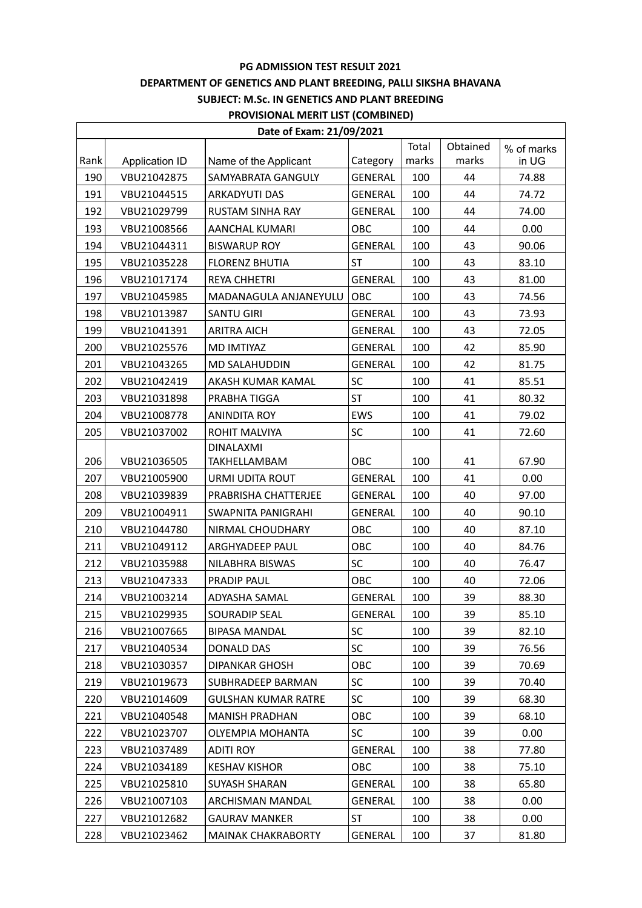## **DEPARTMENT OF GENETICS AND PLANT BREEDING, PALLI SIKSHA BHAVANA**

## **SUBJECT: M.Sc. IN GENETICS AND PLANT BREEDING**

## **PROVISIONAL MERIT LIST (COMBINED)**

| Date of Exam: 21/09/2021 |                |                              |                |       |          |            |
|--------------------------|----------------|------------------------------|----------------|-------|----------|------------|
|                          |                |                              |                | Total | Obtained | % of marks |
| Rank                     | Application ID | Name of the Applicant        | Category       | marks | marks    | in UG      |
| 190                      | VBU21042875    | SAMYABRATA GANGULY           | GENERAL        | 100   | 44       | 74.88      |
| 191                      | VBU21044515    | ARKADYUTI DAS                | <b>GENERAL</b> | 100   | 44       | 74.72      |
| 192                      | VBU21029799    | <b>RUSTAM SINHA RAY</b>      | GENERAL        | 100   | 44       | 74.00      |
| 193                      | VBU21008566    | <b>AANCHAL KUMARI</b>        | OBC            | 100   | 44       | 0.00       |
| 194                      | VBU21044311    | <b>BISWARUP ROY</b>          | <b>GENERAL</b> | 100   | 43       | 90.06      |
| 195                      | VBU21035228    | <b>FLORENZ BHUTIA</b>        | <b>ST</b>      | 100   | 43       | 83.10      |
| 196                      | VBU21017174    | <b>REYA CHHETRI</b>          | <b>GENERAL</b> | 100   | 43       | 81.00      |
| 197                      | VBU21045985    | <b>MADANAGULA ANJANEYULU</b> | OBC            | 100   | 43       | 74.56      |
| 198                      | VBU21013987    | <b>SANTU GIRI</b>            | <b>GENERAL</b> | 100   | 43       | 73.93      |
| 199                      | VBU21041391    | <b>ARITRA AICH</b>           | <b>GENERAL</b> | 100   | 43       | 72.05      |
| 200                      | VBU21025576    | MD IMTIYAZ                   | <b>GENERAL</b> | 100   | 42       | 85.90      |
| 201                      | VBU21043265    | <b>MD SALAHUDDIN</b>         | <b>GENERAL</b> | 100   | 42       | 81.75      |
| 202                      | VBU21042419    | AKASH KUMAR KAMAL            | SC             | 100   | 41       | 85.51      |
| 203                      | VBU21031898    | PRABHA TIGGA                 | <b>ST</b>      | 100   | 41       | 80.32      |
| 204                      | VBU21008778    | <b>ANINDITA ROY</b>          | <b>EWS</b>     | 100   | 41       | 79.02      |
| 205                      | VBU21037002    | ROHIT MALVIYA                | SC             | 100   | 41       | 72.60      |
|                          |                | <b>DINALAXMI</b>             |                |       |          |            |
| 206                      | VBU21036505    | TAKHELLAMBAM                 | OBC            | 100   | 41       | 67.90      |
| 207                      | VBU21005900    | URMI UDITA ROUT              | <b>GENERAL</b> | 100   | 41       | 0.00       |
| 208                      | VBU21039839    | PRABRISHA CHATTERJEE         | GENERAL        | 100   | 40       | 97.00      |
| 209                      | VBU21004911    | SWAPNITA PANIGRAHI           | <b>GENERAL</b> | 100   | 40       | 90.10      |
| 210                      | VBU21044780    | NIRMAL CHOUDHARY             | OBC            | 100   | 40       | 87.10      |
| 211                      | VBU21049112    | ARGHYADEEP PAUL              | OBC            | 100   | 40       | 84.76      |
| 212                      | VBU21035988    | NILABHRA BISWAS              | SC             | 100   | 40       | 76.47      |
| 213                      | VBU21047333    | <b>PRADIP PAUL</b>           | OBC            | 100   | 40       | 72.06      |
| 214                      | VBU21003214    | ADYASHA SAMAL                | <b>GENERAL</b> | 100   | 39       | 88.30      |
| 215                      | VBU21029935    | <b>SOURADIP SEAL</b>         | <b>GENERAL</b> | 100   | 39       | 85.10      |
| 216                      | VBU21007665    | <b>BIPASA MANDAL</b>         | SC             | 100   | 39       | 82.10      |
| 217                      | VBU21040534    | <b>DONALD DAS</b>            | SC             | 100   | 39       | 76.56      |
| 218                      | VBU21030357    | <b>DIPANKAR GHOSH</b>        | <b>OBC</b>     | 100   | 39       | 70.69      |
| 219                      | VBU21019673    | SUBHRADEEP BARMAN            | SC             | 100   | 39       | 70.40      |
| 220                      | VBU21014609    | <b>GULSHAN KUMAR RATRE</b>   | SC             | 100   | 39       | 68.30      |
| 221                      | VBU21040548    | <b>MANISH PRADHAN</b>        | <b>OBC</b>     | 100   | 39       | 68.10      |
| 222                      | VBU21023707    | <b>OLYEMPIA MOHANTA</b>      | SC             | 100   | 39       | 0.00       |
| 223                      | VBU21037489    | ADITI ROY                    | GENERAL        | 100   | 38       | 77.80      |
| 224                      | VBU21034189    | <b>KESHAV KISHOR</b>         | ОВС            | 100   | 38       | 75.10      |
| 225                      | VBU21025810    | <b>SUYASH SHARAN</b>         | <b>GENERAL</b> | 100   | 38       | 65.80      |
| 226                      | VBU21007103    | ARCHISMAN MANDAL             | GENERAL        | 100   | 38       | 0.00       |
| 227                      | VBU21012682    | <b>GAURAV MANKER</b>         | <b>ST</b>      | 100   | 38       | 0.00       |
| 228                      | VBU21023462    | <b>MAINAK CHAKRABORTY</b>    | GENERAL        | 100   | 37       | 81.80      |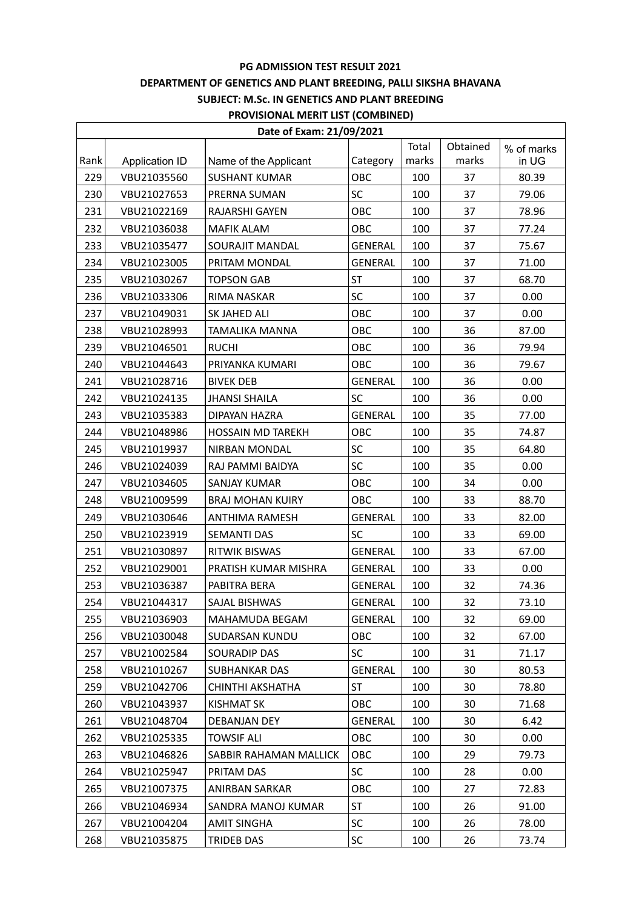# **DEPARTMENT OF GENETICS AND PLANT BREEDING, PALLI SIKSHA BHAVANA**

**SUBJECT: M.Sc. IN GENETICS AND PLANT BREEDING**

## **PROVISIONAL MERIT LIST (COMBINED)**

| Date of Exam: 21/09/2021 |                |                          |                |       |          |            |  |
|--------------------------|----------------|--------------------------|----------------|-------|----------|------------|--|
|                          |                |                          |                | Total | Obtained | % of marks |  |
| Rank                     | Application ID | Name of the Applicant    | Category       | marks | marks    | in UG      |  |
| 229                      | VBU21035560    | <b>SUSHANT KUMAR</b>     | OBC            | 100   | 37       | 80.39      |  |
| 230                      | VBU21027653    | PRERNA SUMAN             | SC             | 100   | 37       | 79.06      |  |
| 231                      | VBU21022169    | RAJARSHI GAYEN           | OBC            | 100   | 37       | 78.96      |  |
| 232                      | VBU21036038    | <b>MAFIK ALAM</b>        | OBC            | 100   | 37       | 77.24      |  |
| 233                      | VBU21035477    | SOURAJIT MANDAL          | <b>GENERAL</b> | 100   | 37       | 75.67      |  |
| 234                      | VBU21023005    | PRITAM MONDAL            | <b>GENERAL</b> | 100   | 37       | 71.00      |  |
| 235                      | VBU21030267    | <b>TOPSON GAB</b>        | <b>ST</b>      | 100   | 37       | 68.70      |  |
| 236                      | VBU21033306    | RIMA NASKAR              | SC             | 100   | 37       | 0.00       |  |
| 237                      | VBU21049031    | SK JAHED ALI             | OBC            | 100   | 37       | 0.00       |  |
| 238                      | VBU21028993    | TAMALIKA MANNA           | OBC            | 100   | 36       | 87.00      |  |
| 239                      | VBU21046501    | <b>RUCHI</b>             | OBC            | 100   | 36       | 79.94      |  |
| 240                      | VBU21044643    | PRIYANKA KUMARI          | <b>OBC</b>     | 100   | 36       | 79.67      |  |
| 241                      | VBU21028716    | <b>BIVEK DEB</b>         | <b>GENERAL</b> | 100   | 36       | 0.00       |  |
| 242                      | VBU21024135    | <b>JHANSI SHAILA</b>     | SC             | 100   | 36       | 0.00       |  |
| 243                      | VBU21035383    | DIPAYAN HAZRA            | <b>GENERAL</b> | 100   | 35       | 77.00      |  |
| 244                      | VBU21048986    | <b>HOSSAIN MD TAREKH</b> | OBC            | 100   | 35       | 74.87      |  |
| 245                      | VBU21019937    | <b>NIRBAN MONDAL</b>     | SC             | 100   | 35       | 64.80      |  |
| 246                      | VBU21024039    | RAJ PAMMI BAIDYA         | SC             | 100   | 35       | 0.00       |  |
| 247                      | VBU21034605    | SANJAY KUMAR             | OBC            | 100   | 34       | 0.00       |  |
| 248                      | VBU21009599    | <b>BRAJ MOHAN KUIRY</b>  | OBC            | 100   | 33       | 88.70      |  |
| 249                      | VBU21030646    | <b>ANTHIMA RAMESH</b>    | <b>GENERAL</b> | 100   | 33       | 82.00      |  |
| 250                      | VBU21023919    | SEMANTI DAS              | <b>SC</b>      | 100   | 33       | 69.00      |  |
| 251                      | VBU21030897    | <b>RITWIK BISWAS</b>     | <b>GENERAL</b> | 100   | 33       | 67.00      |  |
| 252                      | VBU21029001    | PRATISH KUMAR MISHRA     | GENERAL        | 100   | 33       | 0.00       |  |
| 253                      | VBU21036387    | PABITRA BERA             | GENERAL        | 100   | 32       | 74.36      |  |
| 254                      | VBU21044317    | SAJAL BISHWAS            | <b>GENERAL</b> | 100   | 32       | 73.10      |  |
| 255                      | VBU21036903    | MAHAMUDA BEGAM           | <b>GENERAL</b> | 100   | 32       | 69.00      |  |
| 256                      | VBU21030048    | SUDARSAN KUNDU           | OBC            | 100   | 32       | 67.00      |  |
| 257                      | VBU21002584    | SOURADIP DAS             | <b>SC</b>      | 100   | 31       | 71.17      |  |
| 258                      | VBU21010267    | <b>SUBHANKAR DAS</b>     | <b>GENERAL</b> | 100   | 30       | 80.53      |  |
| 259                      | VBU21042706    | CHINTHI AKSHATHA         | <b>ST</b>      | 100   | 30       | 78.80      |  |
| 260                      | VBU21043937    | <b>KISHMAT SK</b>        | OBC            | 100   | 30       | 71.68      |  |
| 261                      | VBU21048704    | DEBANJAN DEY             | <b>GENERAL</b> | 100   | 30       | 6.42       |  |
| 262                      | VBU21025335    | <b>TOWSIF ALI</b>        | OBC            | 100   | 30       | 0.00       |  |
| 263                      | VBU21046826    | SABBIR RAHAMAN MALLICK   | OBC            | 100   | 29       | 79.73      |  |
| 264                      | VBU21025947    | PRITAM DAS               | SC             | 100   | 28       | 0.00       |  |
| 265                      | VBU21007375    | <b>ANIRBAN SARKAR</b>    | OBC            | 100   | 27       | 72.83      |  |
| 266                      | VBU21046934    | SANDRA MANOJ KUMAR       | ST             | 100   | 26       | 91.00      |  |
| 267                      | VBU21004204    | <b>AMIT SINGHA</b>       | <b>SC</b>      | 100   | 26       | 78.00      |  |
| 268                      | VBU21035875    | TRIDEB DAS               | SC             | 100   | 26       | 73.74      |  |